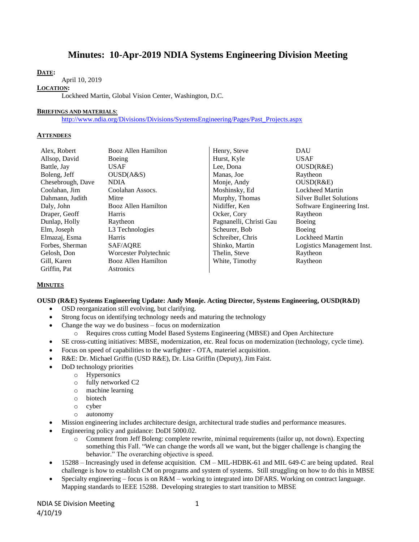# **Minutes: 10-Apr-2019 NDIA Systems Engineering Division Meeting**

## **DATE:**

April 10, 2019

#### **LOCATION:**

Lockheed Martin, Global Vision Center, Washington, D.C.

#### **BRIEFINGS AND MATERIALS**:

[http://www.ndia.org/Divisions/Divisions/SystemsEngineering/Pages/Past\\_Projects.aspx](http://www.ndia.org/Divisions/Divisions/SystemsEngineering/Pages/Past_Projects.aspx)

#### **ATTENDEES**

| Alex, Robert      | <b>Booz Allen Hamilton</b> | Henry, Steve            | <b>DAU</b>                     |
|-------------------|----------------------------|-------------------------|--------------------------------|
| Allsop, David     | Boeing                     | Hurst, Kyle             | <b>USAF</b>                    |
| Battle, Jay       | <b>USAF</b>                | Lee, Dona               | OUSD(R&E)                      |
| Boleng, Jeff      | OUSD(A&S)                  | Manas, Joe              | Raytheon                       |
| Chesebrough, Dave | <b>NDIA</b>                | Monje, Andy             | OUSD(R&E)                      |
| Coolahan, Jim     | Coolahan Assocs.           | Moshinsky, Ed           | <b>Lockheed Martin</b>         |
| Dahmann, Judith   | Mitre                      | Murphy, Thomas          | <b>Silver Bullet Solutions</b> |
| Daly, John        | Booz Allen Hamilton        | Nidiffer, Ken           | Software Engineering Inst.     |
| Draper, Geoff     | Harris                     | Ocker, Cory             | Raytheon                       |
| Dunlap, Holly     | Raytheon                   | Pagnanelli, Christi Gau | Boeing                         |
| Elm, Joseph       | L3 Technologies            | Scheurer, Bob           | Boeing                         |
| Elmazaj, Esma     | Harris                     | Schreiber, Chris        | <b>Lockheed Martin</b>         |
| Forbes, Sherman   | SAF/AQRE                   | Shinko, Martin          | Logistics Management Inst.     |
| Gelosh, Don       | Worcester Polytechnic      | Thelin, Steve           | Raytheon                       |
| Gill, Karen       | <b>Booz Allen Hamilton</b> | White, Timothy          | Raytheon                       |
| Griffin, Pat      | Astronics                  |                         |                                |

#### **MINUTES**

#### **OUSD (R&E) Systems Engineering Update: Andy Monje. Acting Director, Systems Engineering, OUSD(R&D)**

- OSD reorganization still evolving, but clarifying.
- Strong focus on identifying technology needs and maturing the technology
- Change the way we do business focus on modernization
	- o Requires cross cutting Model Based Systems Engineering (MBSE) and Open Architecture
- SE cross-cutting initiatives: MBSE, modernization, etc. Real focus on modernization (technology, cycle time).
- Focus on speed of capabilities to the warfighter OTA, materiel acquisition.
- R&E: Dr. Michael Griffin (USD R&E), Dr. Lisa Griffin (Deputy), Jim Faist.
- DoD technology priorities
	- o Hypersonics
	- o fully networked C2
	- o machine learning
	- o biotech
	- o cyber
	- o autonomy
- Mission engineering includes architecture design, architectural trade studies and performance measures.
- Engineering policy and guidance: DoDI 5000.02.
	- o Comment from Jeff Boleng: complete rewrite, minimal requirements (tailor up, not down). Expecting something this Fall. "We can change the words all we want, but the bigger challenge is changing the behavior." The overarching objective is speed.
- 15288 Increasingly used in defense acquisition. CM MIL-HDBK-61 and MIL 649-C are being updated. Real challenge is how to establish CM on programs and system of systems. Still struggling on how to do this in MBSE
- Specialty engineering focus is on R&M working to integrated into DFARS. Working on contract language. Mapping standards to IEEE 15288. Developing strategies to start transition to MBSE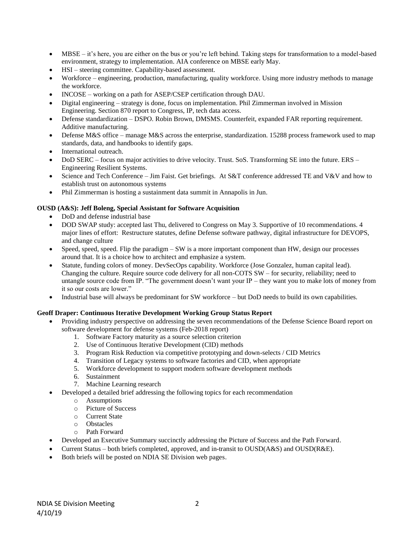- MBSE it's here, you are either on the bus or you're left behind. Taking steps for transformation to a model-based environment, strategy to implementation. AIA conference on MBSE early May.
- HSI steering committee. Capability-based assessment.
- Workforce engineering, production, manufacturing, quality workforce. Using more industry methods to manage the workforce.
- INCOSE working on a path for ASEP/CSEP certification through DAU.
- Digital engineering strategy is done, focus on implementation. Phil Zimmerman involved in Mission Engineering. Section 870 report to Congress, IP, tech data access.
- Defense standardization DSPO. Robin Brown, DMSMS. Counterfeit, expanded FAR reporting requirement. Additive manufacturing.
- Defense M&S office manage M&S across the enterprise, standardization. 15288 process framework used to map standards, data, and handbooks to identify gaps.
- International outreach.
- DoD SERC focus on major activities to drive velocity. Trust. SoS. Transforming SE into the future. ERS Engineering Resilient Systems.
- Science and Tech Conference Jim Faist. Get briefings. At S&T conference addressed TE and V&V and how to establish trust on autonomous systems
- Phil Zimmerman is hosting a sustainment data summit in Annapolis in Jun.

## **OUSD (A&S): Jeff Boleng, Special Assistant for Software Acquisition**

- DoD and defense industrial base
- DOD SWAP study: accepted last Thu, delivered to Congress on May 3. Supportive of 10 recommendations. 4 major lines of effort: Restructure statutes, define Defense software pathway, digital infrastructure for DEVOPS, and change culture
- Speed, speed, speed. Flip the paradigm SW is a more important component than HW, design our processes around that. It is a choice how to architect and emphasize a system.
- Statute, funding colors of money. DevSecOps capability. Workforce (Jose Gonzalez, human capital lead). Changing the culture. Require source code delivery for all non-COTS SW – for security, reliability; need to untangle source code from IP. "The government doesn't want your IP – they want you to make lots of money from it so our costs are lower."
- Industrial base will always be predominant for SW workforce but DoD needs to build its own capabilities.

#### **Geoff Draper: Continuous Iterative Development Working Group Status Report**

- Providing industry perspective on addressing the seven recommendations of the Defense Science Board report on software development for defense systems (Feb-2018 report)
	- 1. Software Factory maturity as a source selection criterion
	- 2. Use of Continuous Iterative Development (CID) methods
	- 3. Program Risk Reduction via competitive prototyping and down-selects / CID Metrics
	- 4. Transition of Legacy systems to software factories and CID, when appropriate
	- 5. Workforce development to support modern software development methods
	- 6. Sustainment
	- 7. Machine Learning research
	- Developed a detailed brief addressing the following topics for each recommendation
		- o Assumptions
		- o Picture of Success
		- o Current State
		- o Obstacles
		- o Path Forward
- Developed an Executive Summary succinctly addressing the Picture of Success and the Path Forward.
- Current Status both briefs completed, approved, and in-transit to OUSD(A&S) and OUSD(R&E).
- Both briefs will be posted on NDIA SE Division web pages.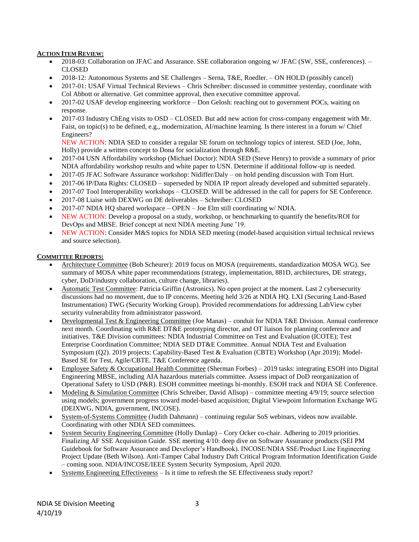# **ACTION ITEM REVIEW:**

- 2018-03: Collaboration on JFAC and Assurance. SSE collaboration ongoing w/JFAC (SW, SSE, conferences). CLOSED
- 2018-12: Autonomous Systems and SE Challenges Serna, T&E, Roedler. ON HOLD (possibly cancel)
- 2017-01: USAF Virtual Technical Reviews Chris Schreiber: discussed in committee yesterday, coordinate with Col Abbott or alternative. Get committee approval, then executive committee approval.
- 2017-02 USAF develop engineering workforce Don Gelosh: reaching out to government POCs, waiting on response.
- 2017-03 Industry ChEng visits to OSD CLOSED. But add new action for cross-company engagement with Mr. Faist, on topic(s) to be defined, e.g., modernization, AI/machine learning. Is there interest in a forum w/ Chief Engineers?

NEW ACTION: NDIA SED to consider a regular SE forum on technology topics of interest. SED (Joe, John, Holly) provide a written concept to Dona for socialization through R&E.

- 2017-04 USN Affordability workshop (Michael Doctor): NDIA SED (Steve Henry) to provide a summary of prior NDIA affordability workshop results and white paper to USN. Determine if additional follow-up is needed.
- 2017-05 JFAC Software Assurance workshop: Nidiffer/Daly on hold pending discussion with Tom Hurt.
- 2017-06 IP/Data Rights: CLOSED superseded by NDIA IP report already developed and submitted separately.
- 2017-07 Tool Interoperability workshops CLOSED. Will be addressed in the call for papers for SE Conference.
- 2017-08 Liaise with DEXWG on DE deliverables Schreiber: CLOSED
- 2017-07 NDIA HQ shared workspace OPEN Joe Elm still coordinating w/ NDIA.
- NEW ACTION: Develop a proposal on a study, workshop, or benchmarking to quantify the benefits/ROI for DevOps and MBSE. Brief concept at next NDIA meeting June '19.
- NEW ACTION: Consider M&S topics for NDIA SED meeting (model-based acquisition virtual technical reviews and source selection).

## **COMMITTEE REPORTS:**

- Architecture Committee (Bob Scheurer): 2019 focus on MOSA (requirements, standardization MOSA WG). See summary of MOSA white paper recommendations (strategy, implementation, 881D, architectures, DE strategy, cyber, DoD/industry collaboration, culture change, libraries).
- Automatic Test Committee: Patricia Griffin (Astronics). No open project at the moment. Last 2 cybersecurity discussions had no movement, due to IP concerns. Meeting held 3/26 at NDIA HQ. LXI (Securing Land-Based Instrumentation) TWG (Security Working Group). Provided recommendations for addressing LabView cyber security vulnerability from administrator password.
- Developmental Test & Engineering Committee (Joe Manas) conduit for NDIA T&E Division. Annual conference next month. Coordinating with R&E DT&E prototyping director, and OT liaison for planning conference and initiatives. T&E Division committees: NDIA Industrial Committee on Test and Evaluation (ICOTE); Test Enterprise Coordination Committee; NDIA SED DT&E Committee. Annual NDIA Test and Evaluation Symposium (Q2). 2019 projects: Capability-Based Test & Evaluation (CBTE) Workshop (Apr 2019); Model-Based SE for Test, Agile/CBTE. T&E Conference agenda.
- Employee Safety & Occupational Health Committee (Sherman Forbes) 2019 tasks: integrating ESOH into Digital Engineering MBSE, including AIA hazardous materials committee. Assess impact of DoD reorganization of Operational Safety to USD (P&R). ESOH committee meetings bi-monthly. ESOH track and NDIA SE Conference.
- Modeling & Simulation Committee (Chris Schreiber, David Allsop) committee meeting 4/9/19; source selection using models; government progress toward model-based acquisition; Digital Viewpoint Information Exchange WG (DEIXWG, NDIA, government, INCOSE).
- System-of-Systems Committee (Judith Dahmann) continuing regular SoS webinars, videos now available. Coordinating with other NDIA SED committees.
- System Security Engineering Committee (Holly Dunlap) Cory Ocker co-chair. Adhering to 2019 priorities. Finalizing AF SSE Acquisition Guide. SSE meeting 4/10: deep dive on Software Assurance products (SEI PM Guidebook for Software Assurance and Developer's Handbook). INCOSE/NDIA SSE/Product Line Engineering Project Update (Beth Wilson). Anti-Tamper Cabal Industry Daft Critical Program Information Identification Guide – coming soon. NDIA/INCOSE/IEEE System Security Symposium, April 2020.
- Systems Engineering Effectiveness Is it time to refresh the SE Effectiveness study report?